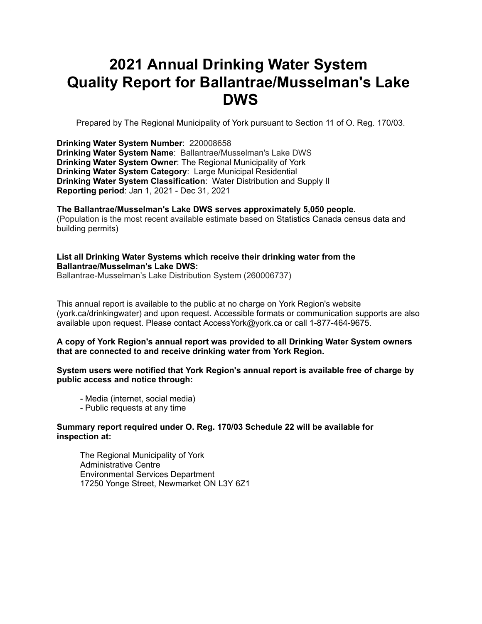# **2021 Annual Drinking Water System Quality Report for Ballantrae/Musselman's Lake DWS**

Prepared by The Regional Municipality of York pursuant to Section 11 of O. Reg. 170/03.

**Drinking Water System Number**: 220008658 **Drinking Water System Name**: Ballantrae/Musselman's Lake DWS **Drinking Water System Owner**: The Regional Municipality of York **Drinking Water System Category**: Large Municipal Residential **Drinking Water System Classification**: Water Distribution and Supply II **Reporting period**: Jan 1, 2021 - Dec 31, 2021

**The Ballantrae/Musselman's Lake DWS serves approximately 5,050 people.** (Population is the most recent available estimate based on Statistics Canada census data and building permits)

#### **List all Drinking Water Systems which receive their drinking water from the Ballantrae/Musselman's Lake DWS:**

Ballantrae-Musselman's Lake Distribution System (260006737)

This annual report is available to the public at no charge on York Region's website (york.ca/drinkingwater) and upon request. Accessible formats or communication supports are also available upon request. Please contact [AccessYork@york.ca](mailto:AccessYork@york.ca) or call 1-877-464-9675.

#### **A copy of York Region's annual report was provided to all Drinking Water System owners that are connected to and receive drinking water from York Region.**

**System users were notified that York Region's annual report is available free of charge by public access and notice through:**

- Media (internet, social media)
- Public requests at any time

#### **Summary report required under O. Reg. 170/03 Schedule 22 will be available for inspection at:**

 The Regional Municipality of York Administrative Centre Environmental Services Department 17250 Yonge Street, Newmarket ON L3Y 6Z1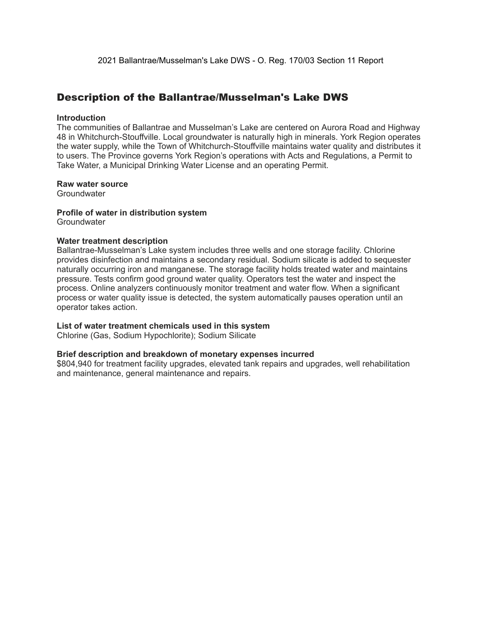### Description of the Ballantrae/Musselman's Lake DWS

#### **Introduction**

The communities of Ballantrae and Musselman's Lake are centered on Aurora Road and Highway 48 in Whitchurch-Stouffville. Local groundwater is naturally high in minerals. York Region operates the water supply, while the Town of Whitchurch-Stouffville maintains water quality and distributes it to users. The Province governs York Region's operations with Acts and Regulations, a Permit to Take Water, a Municipal Drinking Water License and an operating Permit.

#### **Raw water source**

**Groundwater** 

#### **Profile of water in distribution system Groundwater**

#### **Water treatment description**

Ballantrae-Musselman's Lake system includes three wells and one storage facility. Chlorine provides disinfection and maintains a secondary residual. Sodium silicate is added to sequester naturally occurring iron and manganese. The storage facility holds treated water and maintains pressure. Tests confirm good ground water quality. Operators test the water and inspect the process. Online analyzers continuously monitor treatment and water flow. When a significant process or water quality issue is detected, the system automatically pauses operation until an operator takes action.

#### **List of water treatment chemicals used in this system**

Chlorine (Gas, Sodium Hypochlorite); Sodium Silicate

#### **Brief description and breakdown of monetary expenses incurred**

\$804,940 for treatment facility upgrades, elevated tank repairs and upgrades, well rehabilitation and maintenance, general maintenance and repairs.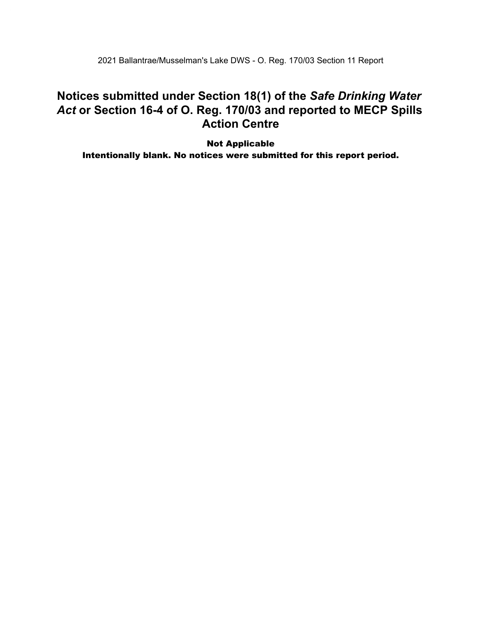2021 Ballantrae/Musselman's Lake DWS - O. Reg. 170/03 Section 11 Report

### **Notices submitted under Section 18(1) of the** *Safe Drinking Water*  *Act* **or Section 16-4 of O. Reg. 170/03 and reported to MECP Spills Action Centre**

 Intentionally blank. No notices were submitted for this report period.Not Applicable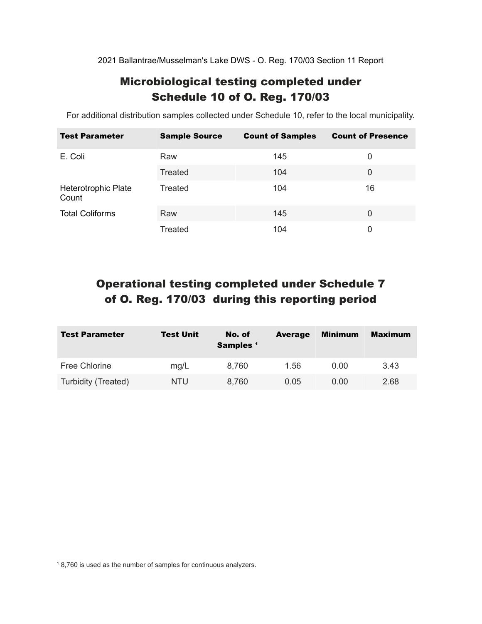2021 Ballantrae/Musselman's Lake DWS - O. Reg. 170/03 Section 11 Report

### Microbiological testing completed under Schedule 10 of O. Reg. 170/03

For additional distribution samples collected under Schedule 10, refer to the local municipality.

| <b>Test Parameter</b>        | <b>Sample Source</b> | <b>Count of Samples</b> | <b>Count of Presence</b> |
|------------------------------|----------------------|-------------------------|--------------------------|
| E. Coli                      | Raw                  | 145                     | 0                        |
|                              | Treated              | 104                     | 0                        |
| Heterotrophic Plate<br>Count | Treated              | 104                     | 16                       |
| <b>Total Coliforms</b>       | Raw                  | 145                     | $\Omega$                 |
|                              | Treated              | 104                     | 0                        |

## Operational testing completed under Schedule 7 of O. Reg. 170/03 during this reporting period

| <b>Test Parameter</b> | <b>Test Unit</b> | No. of<br>Samples <sup>1</sup> | <b>Average</b> | Minimum | <b>Maximum</b> |
|-----------------------|------------------|--------------------------------|----------------|---------|----------------|
| <b>Free Chlorine</b>  | mg/L             | 8,760                          | 1.56           | 0.00    | 3.43           |
| Turbidity (Treated)   | NTU              | 8,760                          | 0.05           | 0.00    | 2.68           |

<sup>1</sup> 8,760 is used as the number of samples for continuous analyzers.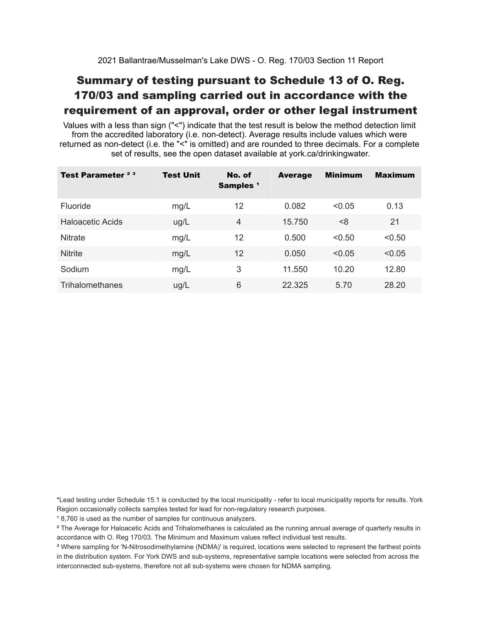## Summary of testing pursuant to Schedule 13 of O. Reg. 170/03 and sampling carried out in accordance with the requirement of an approval, order or other legal instrument

 Values with a less than sign ("<") indicate that the test result is below the method detection limit from the accredited laboratory (i.e. non-detect). Average results include values which were returned as non-detect (i.e. the "<" is omitted) and are rounded to three decimals. For a complete set of results, see the open dataset available at york.ca/drinkingwater.

| Test Parameter <sup>23</sup> | <b>Test Unit</b> | No. of<br>Samples <sup>1</sup> | <b>Average</b> | <b>Minimum</b> | <b>Maximum</b> |
|------------------------------|------------------|--------------------------------|----------------|----------------|----------------|
| Fluoride                     | mg/L             | 12                             | 0.082          | < 0.05         | 0.13           |
| Haloacetic Acids             | ug/L             | $\overline{4}$                 | 15.750         | < 8            | 21             |
| <b>Nitrate</b>               | mg/L             | 12                             | 0.500          | < 0.50         | < 0.50         |
| <b>Nitrite</b>               | mg/L             | 12                             | 0.050          | < 0.05         | < 0.05         |
| Sodium                       | mg/L             | 3                              | 11.550         | 10.20          | 12.80          |
| Trihalomethanes              | ug/L             | 6                              | 22.325         | 5.70           | 28.20          |

 \*Lead testing under Schedule 15.1 is conducted by the local municipality - refer to local municipality reports for results. York Region occasionally collects samples tested for lead for non-regulatory research purposes.

<sup>1</sup>8,760 is used as the number of samples for continuous analyzers.

 $\mathrm{^2}$  The Average for Haloacetic Acids and Trihalomethanes is calculated as the running annual average of quarterly results in accordance with O. Reg 170/03. The Minimum and Maximum values reflect individual test results.

<sup>3</sup> Where sampling for 'N-Nitrosodimethylamine (NDMA)' is required, locations were selected to represent the farthest points in the distribution system. For York DWS and sub-systems, representative sample locations were selected from across the interconnected sub-systems, therefore not all sub-systems were chosen for NDMA sampling.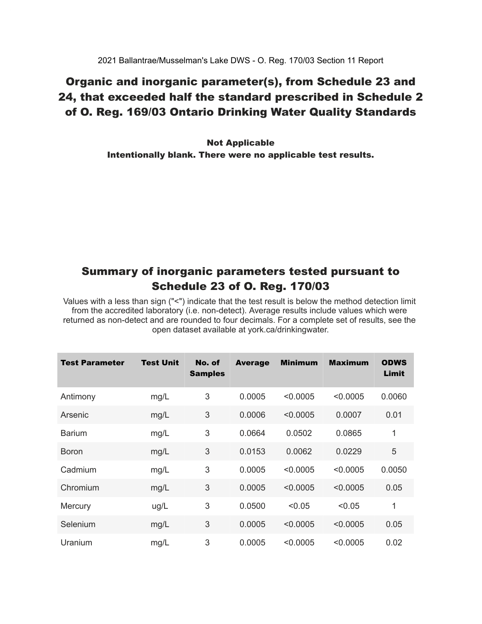### Organic and inorganic parameter(s), from Schedule 23 and 24, that exceeded half the standard prescribed in Schedule 2 of O. Reg. 169/03 Ontario Drinking Water Quality Standards

 Intentionally blank. There were no applicable test results. Not Applicable

### Summary of inorganic parameters tested pursuant to Schedule 23 of O. Reg. 170/03

 Values with a less than sign ("<") indicate that the test result is below the method detection limit from the accredited laboratory (i.e. non-detect). Average results include values which were returned as non-detect and are rounded to four decimals. For a complete set of results, see the open dataset available at york.ca/drinkingwater.

| Test Parameter | <b>Test Unit</b> | No. of<br><b>Samples</b> | <b>Average</b> | <b>Minimum</b> | <b>Maximum</b> | <b>ODWS</b><br>Limit |
|----------------|------------------|--------------------------|----------------|----------------|----------------|----------------------|
| Antimony       | mg/L             | 3                        | 0.0005         | < 0.0005       | < 0.0005       | 0.0060               |
| Arsenic        | mg/L             | 3                        | 0.0006         | < 0.0005       | 0.0007         | 0.01                 |
| <b>Barium</b>  | mg/L             | 3                        | 0.0664         | 0.0502         | 0.0865         | 1                    |
| <b>Boron</b>   | mg/L             | 3                        | 0.0153         | 0.0062         | 0.0229         | 5                    |
| Cadmium        | mg/L             | 3                        | 0.0005         | < 0.0005       | < 0.0005       | 0.0050               |
| Chromium       | mg/L             | 3                        | 0.0005         | < 0.0005       | < 0.0005       | 0.05                 |
| Mercury        | ug/L             | 3                        | 0.0500         | < 0.05         | < 0.05         | 1                    |
| Selenium       | mg/L             | 3                        | 0.0005         | < 0.0005       | < 0.0005       | 0.05                 |
| Uranium        | mg/L             | 3                        | 0.0005         | < 0.0005       | < 0.0005       | 0.02                 |